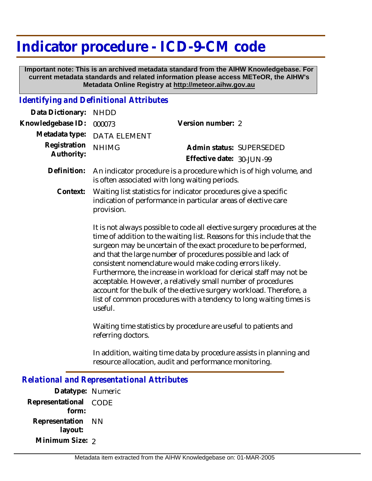## **Indicator procedure - ICD-9-CM code**

 **Important note: This is an archived metadata standard from the AIHW Knowledgebase. For current metadata standards and related information please access METeOR, the AIHW's Metadata Online Registry at http://meteor.aihw.gov.au**

## *Identifying and Definitional Attributes*

| Data Dictionary: NHDD      |                                                                                                                                    |                           |                          |
|----------------------------|------------------------------------------------------------------------------------------------------------------------------------|---------------------------|--------------------------|
| Knowledgebase ID:          | 000073                                                                                                                             | Version number: 2         |                          |
| Metadata type:             | <b>DATA ELEMENT</b>                                                                                                                |                           |                          |
| Registration<br>Authority: | <b>NHIMG</b>                                                                                                                       |                           | Admin status: SUPERSEDED |
|                            |                                                                                                                                    | Effective date: 30-JUN-99 |                          |
| Definition:                | An indicator procedure is a procedure which is of high volume, and<br>is often associated with long waiting periods.               |                           |                          |
| Context:                   | Waiting list statistics for indicator procedures give a specific<br>indication of performance in particular areas of elective care |                           |                          |

provision. It is not always possible to code all elective surgery procedures at the time of addition to the waiting list. Reasons for this include that the surgeon may be uncertain of the exact procedure to be performed, and that the large number of procedures possible and lack of consistent nomenclature would make coding errors likely. Furthermore, the increase in workload for clerical staff may not be acceptable. However, a relatively small number of procedures account for the bulk of the elective surgery workload. Therefore, a list of common procedures with a tendency to long waiting times is

Waiting time statistics by procedure are useful to patients and referring doctors.

In addition, waiting time data by procedure assists in planning and resource allocation, audit and performance monitoring.

## *Relational and Representational Attributes*

useful.

**Datatype:** Numeric **Representational** CODE  **form: Representation** NN  **layout: Minimum Size:** 2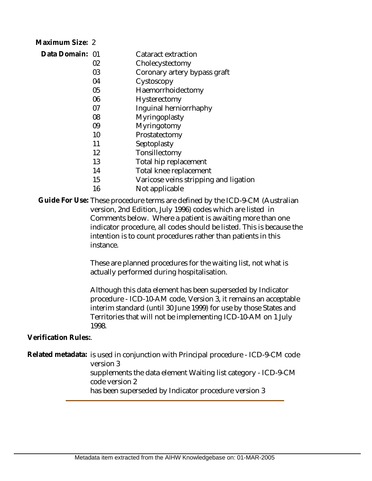| Maximum Size: 2 |    |                                       |
|-----------------|----|---------------------------------------|
| Data Domain: 01 |    | Cataract extraction                   |
|                 | 02 | Cholecystectomy                       |
|                 | 03 | Coronary artery bypass graft          |
|                 | 04 | Cystoscopy                            |
|                 | 05 | Haemorrhoidectomy                     |
|                 | 06 | Hysterectomy                          |
|                 | 07 | Inguinal herniorrhaphy                |
|                 | 08 | Myringoplasty                         |
|                 | 09 | Myringotomy                           |
|                 | 10 | Prostatectomy                         |
|                 | 11 | Septoplasty                           |
|                 | 12 | Tonsillectomy                         |
|                 | 13 | Total hip replacement                 |
|                 | 14 | Total knee replacement                |
|                 | 15 | Varicose veins stripping and ligation |
|                 | 16 | Not applicable                        |

Guide For Use: These procedure terms are defined by the ICD-9-CM (Australian version, 2nd Edition, July 1996) codes which are listed in Comments below. Where a patient is awaiting more than one indicator procedure, all codes should be listed. This is because the intention is to count procedures rather than patients in this instance.

> These are planned procedures for the waiting list, not what is actually performed during hospitalisation.

Although this data element has been superseded by Indicator procedure - ICD-10-AM code, Version 3, it remains an acceptable interim standard (until 30 June 1999) for use by those States and Territories that will not be implementing ICD-10-AM on 1 July 1998.

**Verification Rules:**.

Related metadata: is used in conjunction with Principal procedure - ICD-9-CM code version 3

supplements the data element Waiting list category - ICD-9-CM code version 2

has been superseded by Indicator procedure version 3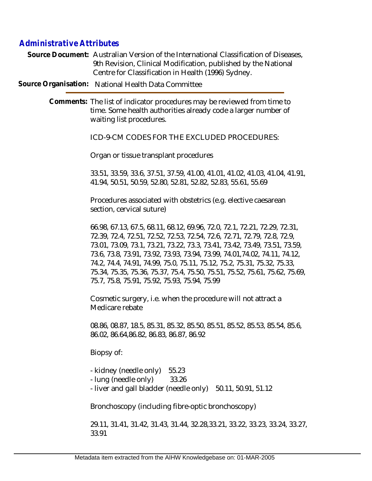## *Administrative Attributes*

Source Document: Australian Version of the International Classification of Diseases, 9th Revision, Clinical Modification, published by the National Centre for Classification in Health (1996) Sydney.

**Source Organisation:** National Health Data Committee

Comments: The list of indicator procedures may be reviewed from time to time. Some health authorities already code a larger number of waiting list procedures.

ICD-9-CM CODES FOR THE EXCLUDED PROCEDURES:

Organ or tissue transplant procedures

33.51, 33.59, 33.6, 37.51, 37.59, 41.00, 41.01, 41.02, 41.03, 41.04, 41.91, 41.94, 50.51, 50.59, 52.80, 52.81, 52.82, 52.83, 55.61, 55.69

Procedures associated with obstetrics (e.g. elective caesarean section, cervical suture)

66.98, 67.13, 67.5, 68.11, 68.12, 69.96, 72.0, 72.1, 72.21, 72.29, 72.31, 72.39, 72.4, 72.51, 72.52, 72.53, 72.54, 72.6, 72.71, 72.79, 72.8, 72.9, 73.01, 73.09, 73.1, 73.21, 73.22, 73.3, 73.41, 73.42, 73.49, 73.51, 73.59, 73.6, 73.8, 73.91, 73.92, 73.93, 73.94, 73.99, 74.01,74.02, 74.11, 74.12, 74.2, 74.4, 74.91, 74.99, 75.0, 75.11, 75.12, 75.2, 75.31, 75.32, 75.33, 75.34, 75.35, 75.36, 75.37, 75.4, 75.50, 75.51, 75.52, 75.61, 75.62, 75.69, 75.7, 75.8, 75.91, 75.92, 75.93, 75.94, 75.99

Cosmetic surgery, i.e. when the procedure will not attract a Medicare rebate

08.86, 08.87, 18.5, 85.31, 85.32, 85.50, 85.51, 85.52, 85.53, 85.54, 85.6, 86.02, 86.64,86.82, 86.83, 86.87, 86.92

Biopsy of:

- kidney (needle only) 55.23

- lung (needle only) 33.26
- liver and gall bladder (needle only) 50.11, 50.91, 51.12

Bronchoscopy (including fibre-optic bronchoscopy)

29.11, 31.41, 31.42, 31.43, 31.44, 32.28,33.21, 33.22, 33.23, 33.24, 33.27, 33.91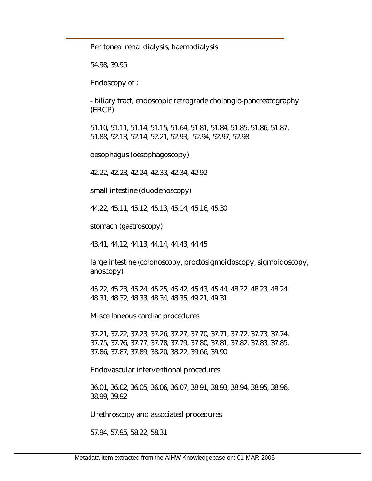Peritoneal renal dialysis; haemodialysis

54.98, 39.95

Endoscopy of :

- biliary tract, endoscopic retrograde cholangio-pancreatography (ERCP)

51.10, 51.11, 51.14, 51.15, 51.64, 51.81, 51.84, 51.85, 51.86, 51.87, 51.88, 52.13, 52.14, 52.21, 52.93, 52.94, 52.97, 52.98

oesophagus (oesophagoscopy)

42.22, 42.23, 42.24, 42.33, 42.34, 42.92

small intestine (duodenoscopy)

44.22, 45.11, 45.12, 45.13, 45.14, 45.16, 45.30

stomach (gastroscopy)

43.41, 44.12, 44.13, 44.14, 44.43, 44.45

large intestine (colonoscopy, proctosigmoidoscopy, sigmoidoscopy, anoscopy)

45.22, 45.23, 45.24, 45.25, 45.42, 45.43, 45.44, 48.22, 48.23, 48.24, 48.31, 48.32, 48.33, 48.34, 48.35, 49.21, 49.31

Miscellaneous cardiac procedures

37.21, 37.22, 37.23, 37.26, 37.27, 37.70, 37.71, 37.72, 37.73, 37.74, 37.75, 37.76, 37.77, 37.78, 37.79, 37.80, 37.81, 37.82, 37.83, 37.85, 37.86, 37.87, 37.89, 38.20, 38.22, 39.66, 39.90

Endovascular interventional procedures

36.01, 36.02, 36.05, 36.06, 36.07, 38.91, 38.93, 38.94, 38.95, 38.96, 38.99, 39.92

Urethroscopy and associated procedures

57.94, 57.95, 58.22, 58.31